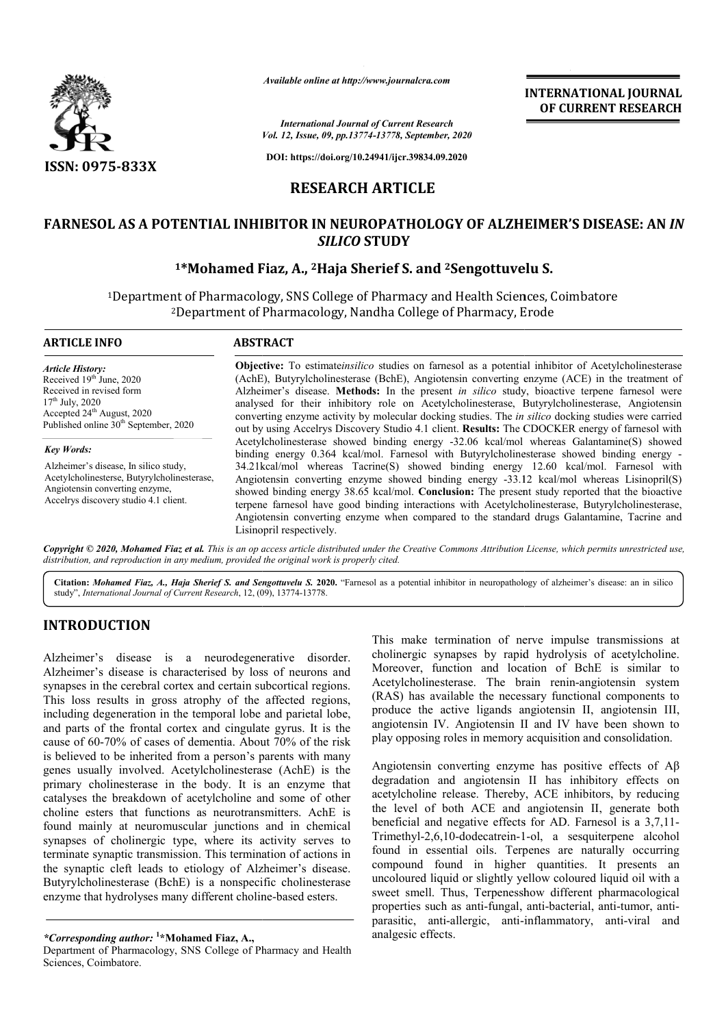

*Available online at http://www.journalcra.com*

**INTERNATIONAL JOURNAL OF CURRENT RESEARCH**

*Vol. 12, Issue, 09, pp.1 pp.13774-13778, September, 2020 International Journal of Current Research*

**DOI: https://doi.org/10.24941/ijcr.39834.09.2020**

## **RESEARCH ARTICLE**

# **FARNESOL AS A POTENTIAL INHIBITOR IN NEUROPATHOLOGY OF ALZHEIMER'S DISEASE: AN INHIBITOR IN NEUROPATHOLOGY DISEASE: AN** *IN SILICO* **STUDY**

# **1\*Mohamed Fiaz Mohamed Fiaz, A., 2Haja Sherief S. and 2Sengottuvelu S. Sengottuvelu**

1Department of Pharmacology, SNS College of Pharmacy and Health Sciences, Coimbatore Department Department Pharmacology, Nandha College of Pharmacy, Erode <sup>2</sup>Department of Pharmacology, Nandha College of Pharmacy, Erode

#### **ARTICLE INFO ABSTRACT Objective:** To estimate*insilico* studies on farnesol as a potential inhibitor of Acetylcholinesterase (AchE), Butyrylcholinesterase (BchE), Angiotensin converting enzyme (ACE) in the treatment of Alzheimer's disease. Methods: In the present *in silico* study, bioactive terpene farnesol were analysed for their inhibitory role on Acetylcholinesterase, Butyrylcholinesterase, Angiotensin converting enzyme activity by molecular docking studies. The *in silico* docking studies were carried *Article History:* Received 19<sup>th June</sup>, 2020 Received in revised form  $17^{\rm th}$  July, 2020 Accepted 24<sup>th</sup> August, 2020 Published online 30<sup>th</sup> September, 2020

*Key Words:*

Alzheimer's disease, In silico study, Acetylcholinesterse, Butyrylcholinesterase, Angiotensin converting enzyme, Accelrys discovery studio 4.1 client.

out by using Accelrys Discovery Studio 4.1 client. Results: The CDOCKER energy of farnesol with Acetylcholinesterase showed binding energy -32.06 kcal/mol whereas Galantamine(S) showed Acetylcholinesterase showed binding energy -32.06 kcal/mol whereas Galantamine(S) showed<br>binding energy 0.364 kcal/mol. Farnesol with Butyrylcholinesterase showed binding energy -34.21kcal/mol whereas Tacrine(S) showed binding energy 12.60 kcal/mol. Farnesol with 34.21kcal/mol whereas Tacrine(S) showed binding energy 12.60 kcal/mol. Farnesol with Angiotensin converting enzyme showed binding energy -33.12 kcal/mol whereas Lisinopril(S) showed binding energy 38.65 kcal/mol. **Conclusion:** The present study reported that the bioactive terpene farnesol have good binding interactions with Acetylcholinesterase, Butyrylcholinesterase, Angiotensin converting enzyme when compared to the standard drugs Galantamine, Tacrine and Lisinopril respectively.

Copyright © 2020, Mohamed Fiaz et al. This is an op access article distributed under the Creative Commons Attribution License, which permits unrestricted use, *distribution, and reproduction in any medium, provided the original work is properly cited.*

Citation: Mohamed Fiaz, A., Haja Sherief S. and Sengottuvelu S. 2020. "Farnesol as a potential inhibitor in neuropathology of alzheimer's disease: an in silico study", *International Journal of Current Research*, 12, (09), 13774-13778.

# **INTRODUCTION**

Alzheimer's disease is a neurodegenerative disorder. Alzheimer's disease is characterised by loss of neurons and synapses in the cerebral cortex and certain subcortical regions. This loss results in gross atrophy of the affected regions, including degeneration in the temporal lobe and parietal lobe, and parts of the frontal cortex and cingulate gyrus. It is the cause of 60-70% of cases of dementia. About 70% of the risk is believed to be inherited from a person's parents with many genes usually involved. Acetylcholinesterase (AchE) is the primary cholinesterase in the body. It is an enzyme that catalyses the breakdown of acetylcholine and some of other choline esters that functions as neurotransmitters. AchE is found mainly at neuromuscular junctions and in chemical synapses of cholinergic type, where its activity serves to terminate synaptic transmission. This termination of actions in the synaptic cleft leads to etiology of Alzheimer's disease. Butyrylcholinesterase (BchE) is a nonspecific cholinesterase enzyme that hydrolyses many different choline-based esters. 70% of cases of dementia. About 70% of the risk<br>o be inherited from a person's parents with many<br>ly involved. Acetylcholinesterase (AchE) is the This make termination of nerve impulse transmissions at cholinergic synapses by rapid hydrolysis of acetylcholine. Moreover, function and location of BchE is similar to Acetylcholinesterase. The brain renin-angiotensin system (RAS) has available the necessary functional components to produce the active ligands angiotensin II, angiotensin III, produce the active ligands angiotensin II, angiotensin III, angiotensin IV. Angiotensin II and IV have been shown to play opposing roles in memory acquisition and consolidation. This make termination of nerve impulse transmissions at cholinergic synapses by rapid hydrolysis of acetylcholine.<br>Moreover, function and location of BchE is similar to

Angiotensin converting enzyme has positive effects of  $A\beta$ degradation and angiotensin II has inhibitory effects on acetylcholine release. Thereby, ACE inhibitors, by reducing degradation and angiotensin II has inhibitory effects on acetylcholine release. Thereby, ACE inhibitors, by reducing the level of both ACE and angiotensin II, generate both beneficial and negative effects for AD. Farnesol is a 3,7,11-Trimethyl-2,6,10-dodecatrein-1 1-ol, a sesquiterpene alcohol found in essential oils. Terpenes are naturally occurring compound found in higher quantities. It presents an uncoloured liquid or slightly yellow coloured liquid oil with a sweet smell. Thus, Terpenesshow different pharmacological properties such as anti-fungal, anti fungal, anti-bacterial, anti-tumor, antiparasitic, anti-allergic, anti-inflammatory, anti-viral and analgesic effects. found in essential oils. Terpenes are naturally occurring compound found in higher quantities. It presents an uncoloured liquid or slightly yellow coloured liquid oil with a sweet smell. Thus, Terpenesshow different pharma

*<sup>\*</sup>Corresponding author:* **<sup>1</sup> \*Mohamed Fiaz, A.,** 

Department of Pharmacology, SNS College of Pharmacy and Health Sciences, Coimbatore.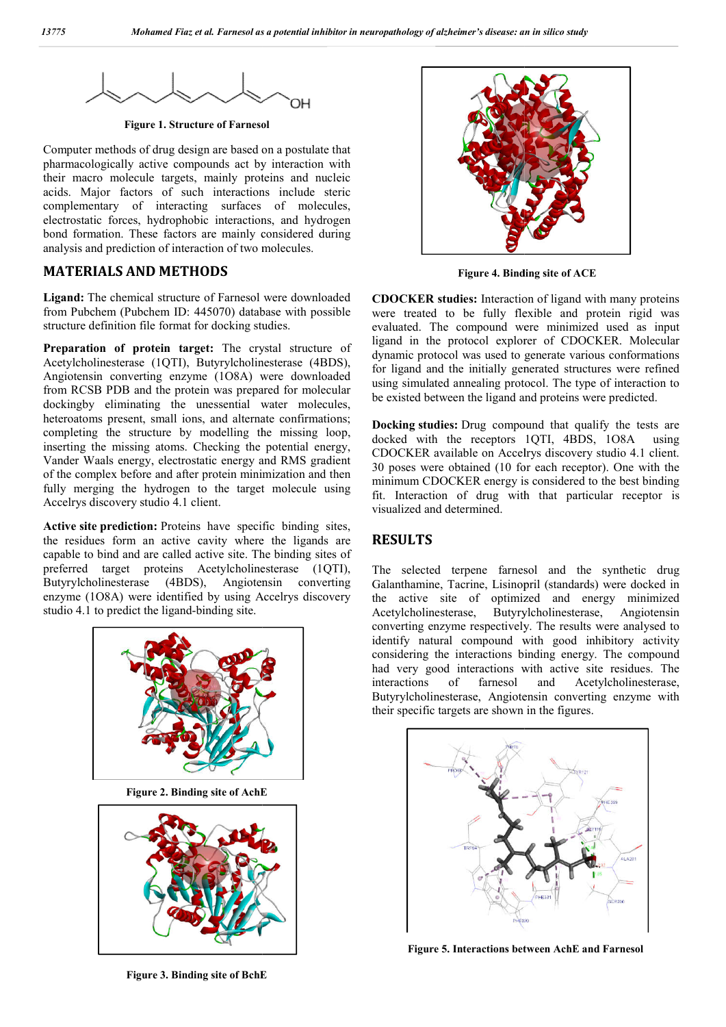

**Figure 1. Structure of Farnesol**

Computer methods of drug design are based on a postulate that pharmacologically active compounds act by interaction with their macro molecule targets, mainly proteins and nucleic acids. Major factors of such interactions include steric complementary of interacting surfaces of molecules, electrostatic forces, hydrophobic interactions, and hydrogen bond formation. These factors are mainly considered during analysis and prediction of interaction of two molecules.

# **MATERIALS AND METHODS**

**Ligand:** The chemical structure of Farnesol were downloaded from Pubchem (Pubchem ID: 445070) database with possible structure definition file format for docking studies.

**Preparation of protein target:** The crystal structure of Acetylcholinesterase (1QTI), Butyrylcholinesterase (4BDS), Angiotensin converting enzyme (1O8A) were downloaded from RCSB PDB and the protein was prepared for molecular dockingby eliminating the unessential water molecules, heteroatoms present, small ions, and alternate confirmations; completing the structure by modelling the missing loop, inserting the missing atoms. Checking the potential energy, Vander Waals energy, electrostatic energy and RMS gradient of the complex before and after protein minimization and then fully merging the hydrogen to the target molecule using Accelrys discovery studio 4.1 client. Static forces, hydrophobic interactions, and hydrogen<br>
formation. These factors are mainly considered during<br>
is and prediction of interaction of two molecules.<br> **ERIALS AND METHODS**<br> **ERIALS AND METHODS**<br> **ERIALS AND METH** 

**Active site prediction:** Proteins have specific binding sites, the residues form an active cavity where the ligands are capable to bind and are called active site. The binding sites of preferred target proteins Acetylcholinesterase (1QTI), Butyrylcholinesterase (4BDS), Angiotensin converting enzyme (1O8A) were identified by using Accelrys discovery studio 4.1 to predict the ligand-binding site.



**Figure 2. Binding site of AchE**



**CDOCKER studies:** Interaction of ligand with many proteins were treated to be fully flexible and protein rigid was **CDOCKER studies:** Interaction of ligand with many proteins were treated to be fully flexible and protein rigid was evaluated. The compound were minimized used as input ligand in the protocol explorer of CDOCKER. Molecular dynamic protocol was used to generate various conformations for ligand and the initially generated structures were refined using simulated annealing protocol. The type of interaction to be existed between the ligand and proteins were predicted. col was used to generate various conformations<br>the initially generated structures were refined<br>d annealing protocol. The type of interaction to

**Docking studies:** Drug compound that qualify the tests are docked with the receptors 1QTI, 4BDS, 1O8A using CDOCKER available on Accelrys discovery studio 4.1 client. 30 poses were obtained (10 for each receptor). One with the minimum CDOCKER energy is considered to the best binding fit. Interaction of drug with that particular receptor is visualized and determined. be existed between the ligand and proteins were predicted.<br>**Docking studies:** Drug compound that qualify the tests are docked with the receptors 1QTI, 4BDS, 108A using<br>CDOCKER available on Accelrys discovery studio 4.1 cli

## **RESULTS**

The selected terpene farnesol and the synthetic drug Fit. Interaction of drug with that particular receptor is<br>
visualized and determined.<br> **RESULTS**<br>
The selected terpene farnesol and the synthetic drug<br>
Galanthamine, Tacrine, Lisinopril (standards) were docked in the active site of optimized and energy minimized Acetylcholinesterase, Butyrylcholinesterase, Angiotensin Acetylcholinesterase, Butyrylcholinesterase, Angiotensin<br>converting enzyme respectively. The results were analysed to identify natural compound with good inhibitory activity considering the interactions binding energy. The compound had very good interactions with active site residues. The interactions of farnesol and Acetylcholinesterase, considering the interactions binding energy. The compound had very good interactions with active site residues. The interactions of farnesol and Acetylcholinesterase, Butyrylcholinesterase, Angiotensin converting enzyme with their specific targets are shown in the figures.



**Figure 5. Interactions between AchE and Farnesol**

**Figure 3. Binding site of BchE**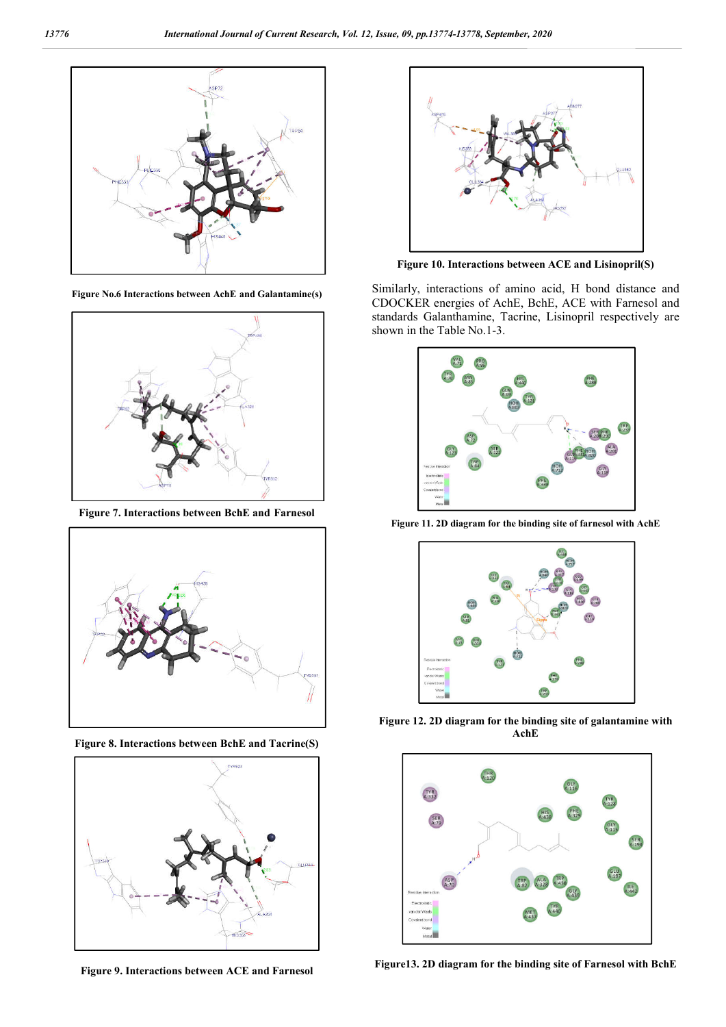

**Figure No.6 Interactions between AchE and Galantamine(s)**



**Figure 7. Interactions between BchE and Farnesol**



**Figure 8. Interactions between BchE and Tacrine(S)**



**Figure 9. Interactions between ACE and Farnesol** 



**Figure 10. Interactions between ACE and Lisinopril(S)**

Similarly, interactions of amino acid, H bond distance and CDOCKER energies of AchE, BchE, ACE with Farnesol and standards Galanthamine, Tacrine, Lisinopril respectively are shown in the Table No.1-3.



**Figure 11. 2D diagram for the binding site of farnesol with AchE**



**Figure 12. 2D diagram for the binding site of galantamine with AchE**



**Figure13. 2D diagram for the binding site of Farnesol with BchE**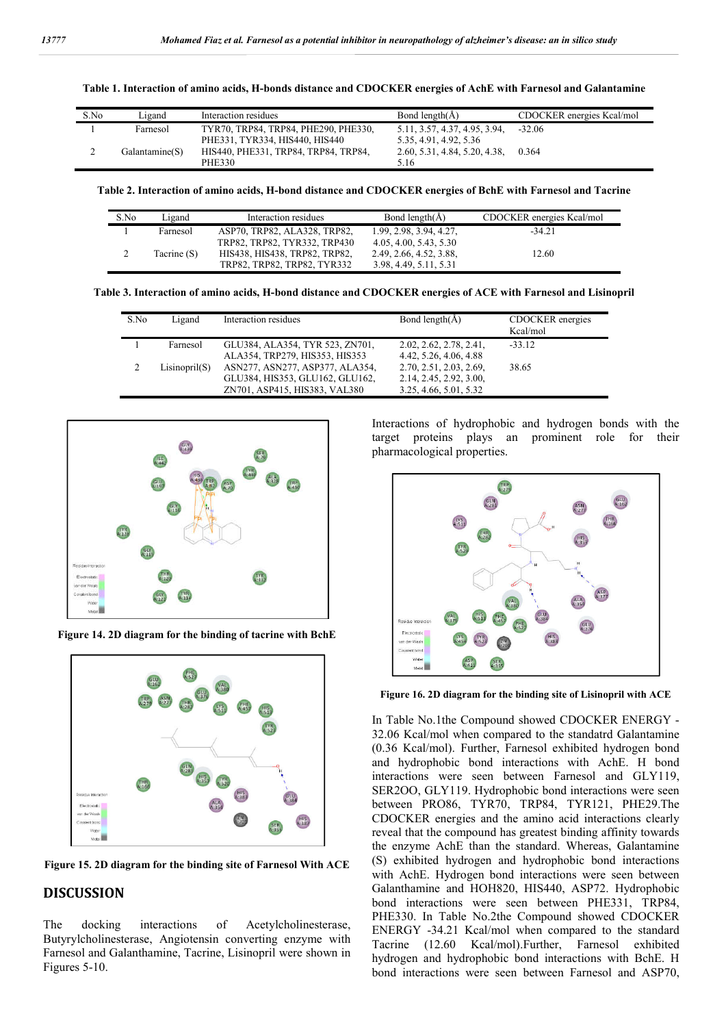**Table 1. Interaction of amino acids, H-bonds distance and CDOCKER energies of AchE with Farnesol and Galantamine**

| S.No | Ligand         | Interaction residues                 | Bond length $(A)$             | CDOCKER energies Kcal/mol |
|------|----------------|--------------------------------------|-------------------------------|---------------------------|
|      | Farnesol       | TYR70, TRP84, TRP84, PHE290, PHE330, | 5.11, 3.57, 4.37, 4.95, 3.94, | $-32.06$                  |
|      |                | PHE331, TYR334, HIS440, HIS440       | 5.35, 4.91, 4.92, 5.36        |                           |
|      | Galantamine(S) | HIS440, PHE331, TRP84, TRP84, TRP84, | 2.60, 5.31, 4.84, 5.20, 4.38, | 0.364                     |
|      |                | <b>PHE330</b>                        | 5.16                          |                           |

**Table 2. Interaction of amino acids, H-bond distance and CDOCKER energies of BchE with Farnesol and Tacrine**

| S.No | Ligand      | Interaction residues          | Bond length( $\AA$ )    | CDOCKER energies Kcal/mol |
|------|-------------|-------------------------------|-------------------------|---------------------------|
|      | Farnesol    | ASP70, TRP82, ALA328, TRP82,  | 1.99, 2.98, 3.94, 4.27, | $-34.21$                  |
|      |             | TRP82, TRP82, TYR332, TRP430  | 4.05, 4.00, 5.43, 5.30  |                           |
|      | Tacrine (S) | HIS438, HIS438, TRP82, TRP82, | 2.49, 2.66, 4.52, 3.88, | 12.60                     |
|      |             | TRP82, TRP82, TRP82, TYR332   | 3.98, 4.49, 5.11, 5.31  |                           |

**Table 3. Interaction of amino acids, H-bond distance and CDOCKER energies of ACE with Farnesol and Lisinopril**

| S.No | Ligand        | Interaction residues                                                                                | Bond length( $\AA$ )                                                         | CDOCKER energies<br>Kcal/mol |
|------|---------------|-----------------------------------------------------------------------------------------------------|------------------------------------------------------------------------------|------------------------------|
|      | Farnesol      | GLU384, ALA354, TYR 523, ZN701,<br>ALA354, TRP279, HIS353, HIS353                                   | 2.02, 2.62, 2.78, 2.41,<br>4.42, 5.26, 4.06, 4.88                            | $-33.12$                     |
|      | Lisinopril(S) | ASN277, ASN277, ASP377, ALA354,<br>GLU384, HIS353, GLU162, GLU162,<br>ZN701, ASP415, HIS383, VAL380 | 2.70, 2.51, 2.03, 2.69,<br>2.14, 2.45, 2.92, 3.00,<br>3.25, 4.66, 5.01, 5.32 | 38.65                        |



**Figure 14. 2D diagram for the binding of tacrine with BchE**



**Figure 15. 2D diagram for the binding site of Farnesol With ACE** 

#### **DISCUSSION**

The docking interactions of Acetylcholinesterase, Butyrylcholinesterase, Angiotensin converting enzyme with Farnesol and Galanthamine, Tacrine, Lisinopril were shown in Figures 5-10.

Interactions of hydrophobic and hydrogen bonds with the target proteins plays an prominent role for their pharmacological properties.



**Figure 16. 2D diagram for the binding site of Lisinopril with ACE**

In Table No.1the Compound showed CDOCKER ENERGY - 32.06 Kcal/mol when compared to the standatrd Galantamine (0.36 Kcal/mol). Further, Farnesol exhibited hydrogen bond and hydrophobic bond interactions with AchE. H bond interactions were seen between Farnesol and GLY119, SER2OO, GLY119. Hydrophobic bond interactions were seen between PRO86, TYR70, TRP84, TYR121, PHE29.The CDOCKER energies and the amino acid interactions clearly reveal that the compound has greatest binding affinity towards the enzyme AchE than the standard. Whereas, Galantamine (S) exhibited hydrogen and hydrophobic bond interactions with AchE. Hydrogen bond interactions were seen between Galanthamine and HOH820, HIS440, ASP72. Hydrophobic bond interactions were seen between PHE331, TRP84, PHE330. In Table No.2the Compound showed CDOCKER ENERGY -34.21 Kcal/mol when compared to the standard Tacrine (12.60 Kcal/mol).Further, Farnesol exhibited hydrogen and hydrophobic bond interactions with BchE. H bond interactions were seen between Farnesol and ASP70,